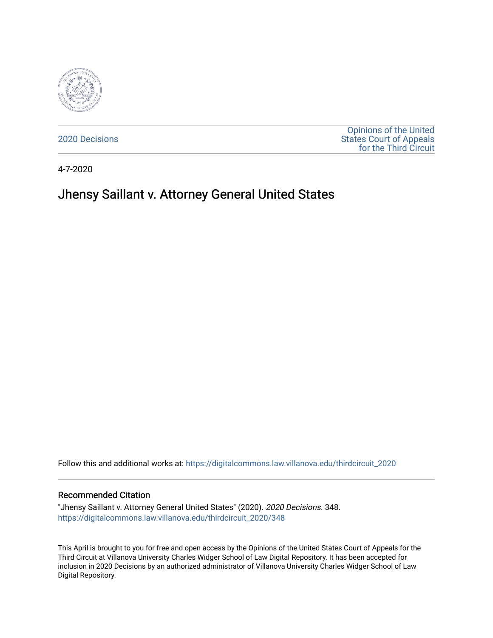

[2020 Decisions](https://digitalcommons.law.villanova.edu/thirdcircuit_2020)

[Opinions of the United](https://digitalcommons.law.villanova.edu/thirdcircuit)  [States Court of Appeals](https://digitalcommons.law.villanova.edu/thirdcircuit)  [for the Third Circuit](https://digitalcommons.law.villanova.edu/thirdcircuit) 

4-7-2020

# Jhensy Saillant v. Attorney General United States

Follow this and additional works at: [https://digitalcommons.law.villanova.edu/thirdcircuit\\_2020](https://digitalcommons.law.villanova.edu/thirdcircuit_2020?utm_source=digitalcommons.law.villanova.edu%2Fthirdcircuit_2020%2F348&utm_medium=PDF&utm_campaign=PDFCoverPages) 

#### Recommended Citation

"Jhensy Saillant v. Attorney General United States" (2020). 2020 Decisions. 348. [https://digitalcommons.law.villanova.edu/thirdcircuit\\_2020/348](https://digitalcommons.law.villanova.edu/thirdcircuit_2020/348?utm_source=digitalcommons.law.villanova.edu%2Fthirdcircuit_2020%2F348&utm_medium=PDF&utm_campaign=PDFCoverPages)

This April is brought to you for free and open access by the Opinions of the United States Court of Appeals for the Third Circuit at Villanova University Charles Widger School of Law Digital Repository. It has been accepted for inclusion in 2020 Decisions by an authorized administrator of Villanova University Charles Widger School of Law Digital Repository.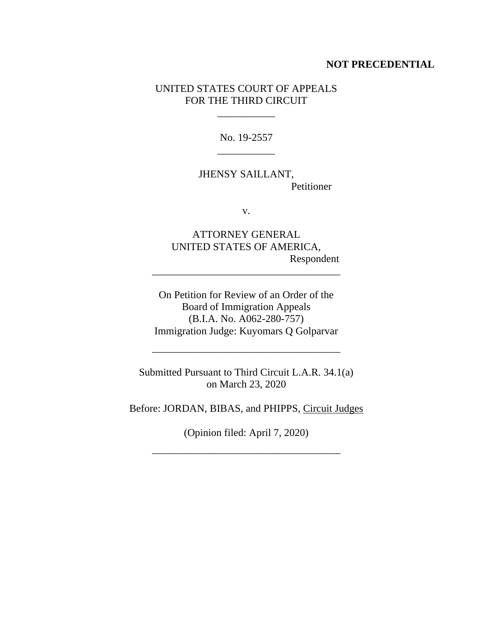### **NOT PRECEDENTIAL**

### UNITED STATES COURT OF APPEALS FOR THE THIRD CIRCUIT

 $\mathcal{L}=\mathcal{L}$ 

No. 19-2557 \_\_\_\_\_\_\_\_\_\_\_

JHENSY SAILLANT, Petitioner

v.

ATTORNEY GENERAL UNITED STATES OF AMERICA, Respondent

On Petition for Review of an Order of the Board of Immigration Appeals (B.I.A. No. A062-280-757) Immigration Judge: Kuyomars Q Golparvar

\_\_\_\_\_\_\_\_\_\_\_\_\_\_\_\_\_\_\_\_\_\_\_\_\_\_\_\_\_\_\_\_\_\_\_\_

Submitted Pursuant to Third Circuit L.A.R. 34.1(a) on March 23, 2020

\_\_\_\_\_\_\_\_\_\_\_\_\_\_\_\_\_\_\_\_\_\_\_\_\_\_\_\_\_\_\_\_\_\_\_\_

Before: JORDAN, BIBAS, and PHIPPS, Circuit Judges

(Opinion filed: April 7, 2020)

\_\_\_\_\_\_\_\_\_\_\_\_\_\_\_\_\_\_\_\_\_\_\_\_\_\_\_\_\_\_\_\_\_\_\_\_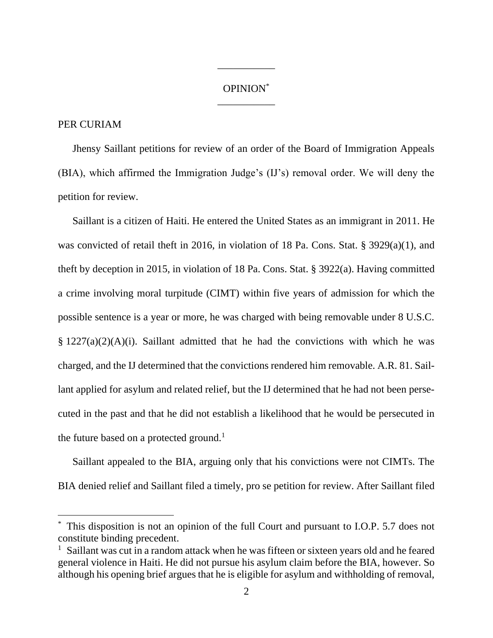## OPINION\* \_\_\_\_\_\_\_\_\_\_\_

\_\_\_\_\_\_\_\_\_\_\_

#### PER CURIAM

Jhensy Saillant petitions for review of an order of the Board of Immigration Appeals (BIA), which affirmed the Immigration Judge's (IJ's) removal order. We will deny the petition for review.

Saillant is a citizen of Haiti. He entered the United States as an immigrant in 2011. He was convicted of retail theft in 2016, in violation of 18 Pa. Cons. Stat. § 3929(a)(1), and theft by deception in 2015, in violation of 18 Pa. Cons. Stat. § 3922(a). Having committed a crime involving moral turpitude (CIMT) within five years of admission for which the possible sentence is a year or more, he was charged with being removable under 8 U.S.C.  $\S 1227(a)(2)(A)(i)$ . Saillant admitted that he had the convictions with which he was charged, and the IJ determined that the convictions rendered him removable. A.R. 81. Saillant applied for asylum and related relief, but the IJ determined that he had not been persecuted in the past and that he did not establish a likelihood that he would be persecuted in the future based on a protected ground.<sup>1</sup>

Saillant appealed to the BIA, arguing only that his convictions were not CIMTs. The BIA denied relief and Saillant filed a timely, pro se petition for review. After Saillant filed

<sup>\*</sup> This disposition is not an opinion of the full Court and pursuant to I.O.P. 5.7 does not constitute binding precedent.

<sup>&</sup>lt;sup>1</sup> Saillant was cut in a random attack when he was fifteen or sixteen years old and he feared general violence in Haiti. He did not pursue his asylum claim before the BIA, however. So although his opening brief argues that he is eligible for asylum and withholding of removal,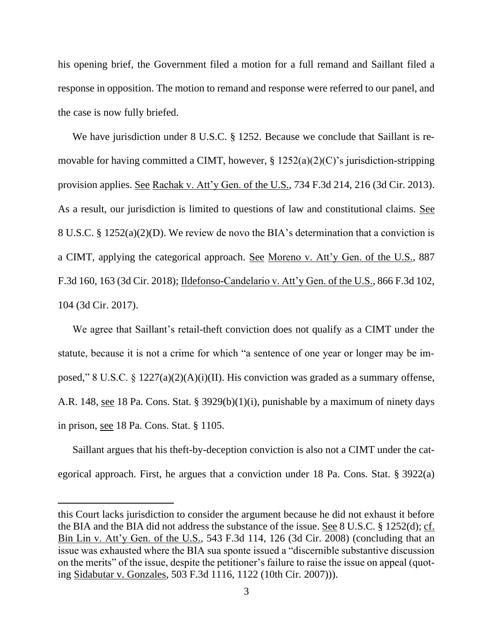his opening brief, the Government filed a motion for a full remand and Saillant filed a response in opposition. The motion to remand and response were referred to our panel, and the case is now fully briefed.

We have jurisdiction under 8 U.S.C. § 1252. Because we conclude that Saillant is removable for having committed a CIMT, however, § 1252(a)(2)(C)'s jurisdiction-stripping provision applies. See Rachak v. Att'y Gen. of the U.S., 734 F.3d 214, 216 (3d Cir. 2013). As a result, our jurisdiction is limited to questions of law and constitutional claims. See 8 U.S.C. § 1252(a)(2)(D). We review de novo the BIA's determination that a conviction is a CIMT, applying the categorical approach. See Moreno v. Att'y Gen. of the U.S., 887 F.3d 160, 163 (3d Cir. 2018); Ildefonso-Candelario v. Att'y Gen. of the U.S., 866 F.3d 102, 104 (3d Cir. 2017).

We agree that Saillant's retail-theft conviction does not qualify as a CIMT under the statute, because it is not a crime for which "a sentence of one year or longer may be imposed," 8 U.S.C. § 1227(a)(2)(A)(i)(II). His conviction was graded as a summary offense, A.R. 148, see 18 Pa. Cons. Stat. § 3929(b)(1)(i), punishable by a maximum of ninety days in prison, see 18 Pa. Cons. Stat. § 1105.

Saillant argues that his theft-by-deception conviction is also not a CIMT under the categorical approach. First, he argues that a conviction under 18 Pa. Cons. Stat. § 3922(a)

this Court lacks jurisdiction to consider the argument because he did not exhaust it before the BIA and the BIA did not address the substance of the issue. See  $8 \text{ U.S.C. }$   $\frac{8}{9}$  1252(d); cf. Bin Lin v. Att'y Gen. of the U.S., 543 F.3d 114, 126 (3d Cir. 2008) (concluding that an issue was exhausted where the BIA sua sponte issued a "discernible substantive discussion on the merits" of the issue, despite the petitioner's failure to raise the issue on appeal (quoting Sidabutar v. Gonzales, 503 F.3d 1116, 1122 (10th Cir. 2007))).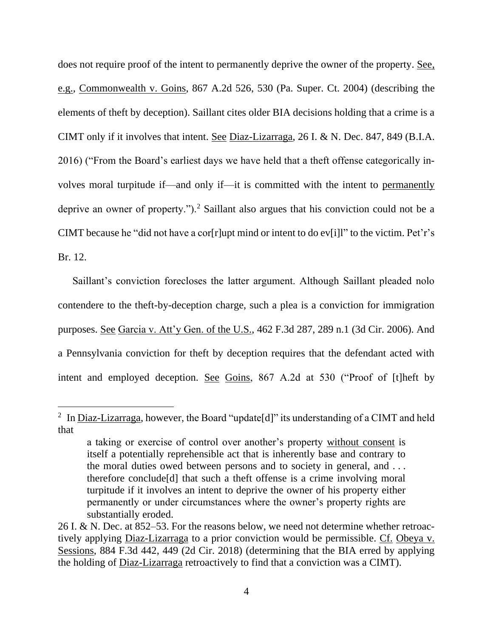does not require proof of the intent to permanently deprive the owner of the property. See, e.g., Commonwealth v. Goins, 867 A.2d 526, 530 (Pa. Super. Ct. 2004) (describing the elements of theft by deception). Saillant cites older BIA decisions holding that a crime is a CIMT only if it involves that intent. See Diaz-Lizarraga, 26 I. & N. Dec. 847, 849 (B.I.A. 2016) ("From the Board's earliest days we have held that a theft offense categorically involves moral turpitude if—and only if—it is committed with the intent to permanently deprive an owner of property.").<sup>2</sup> Saillant also argues that his conviction could not be a CIMT because he "did not have a cor[r]upt mind or intent to do ev[i]l" to the victim. Pet'r's Br. 12.

Saillant's conviction forecloses the latter argument. Although Saillant pleaded nolo contendere to the theft-by-deception charge, such a plea is a conviction for immigration purposes. See Garcia v. Att'y Gen. of the U.S., 462 F.3d 287, 289 n.1 (3d Cir. 2006). And a Pennsylvania conviction for theft by deception requires that the defendant acted with intent and employed deception. See Goins, 867 A.2d at 530 ("Proof of [t]heft by

<sup>&</sup>lt;sup>2</sup> In <u>Diaz-Lizarraga</u>, however, the Board "update<sup>[d]"</sup> its understanding of a CIMT and held that

a taking or exercise of control over another's property without consent is itself a potentially reprehensible act that is inherently base and contrary to the moral duties owed between persons and to society in general, and . . . therefore conclude[d] that such a theft offense is a crime involving moral turpitude if it involves an intent to deprive the owner of his property either permanently or under circumstances where the owner's property rights are substantially eroded.

<sup>26</sup> I. & N. Dec. at 852–53. For the reasons below, we need not determine whether retroactively applying Diaz-Lizarraga to a prior conviction would be permissible. Cf. Obeya v. Sessions, 884 F.3d 442, 449 (2d Cir. 2018) (determining that the BIA erred by applying the holding of Diaz-Lizarraga retroactively to find that a conviction was a CIMT).